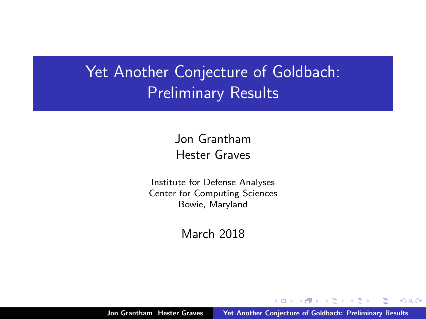#### Yet Another Conjecture of Goldbach: Preliminary Results

Jon Grantham Hester Graves

Institute for Defense Analyses Center for Computing Sciences Bowie, Maryland

March 2018

 $4.17 \pm 1.0$ 

<span id="page-0-0"></span>A + + = +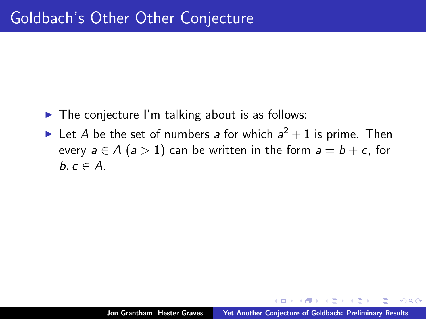- $\blacktriangleright$  The conjecture I'm talking about is as follows:
- In Let A be the set of numbers a for which  $a^2 + 1$  is prime. Then every  $a \in A$  ( $a > 1$ ) can be written in the form  $a = b + c$ , for  $b, c \in A$ .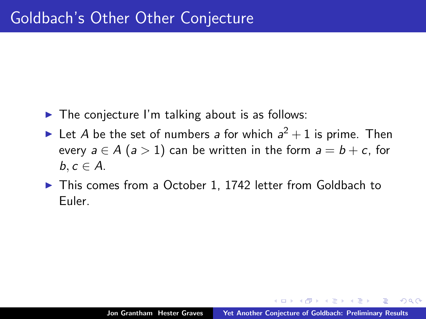- $\blacktriangleright$  The conjecture I'm talking about is as follows:
- In Let A be the set of numbers a for which  $a^2 + 1$  is prime. Then every  $a \in A$  ( $a > 1$ ) can be written in the form  $a = b + c$ , for  $b, c \in A$ .
- ▶ This comes from a October 1, 1742 letter from Goldbach to Euler.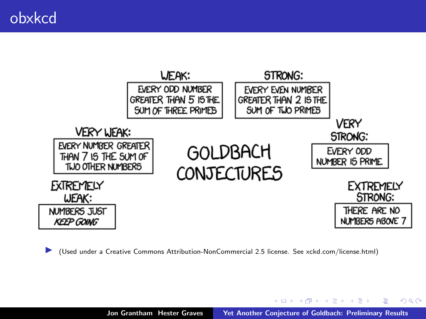

I (Used under a Creative Commons Attribution-NonCommercial 2.5 license. See xckd.com/license.html)

K ロ ⊁ K 倒 ≯ K ミ ⊁ K ミ ≯

 $2Q$ 

后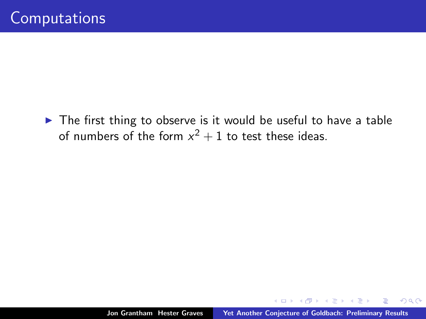$\blacktriangleright$  The first thing to observe is it would be useful to have a table of numbers of the form  $x^2 + 1$  to test these ideas.

**K 御 ▶ | K 唐 ▶ | K 唐**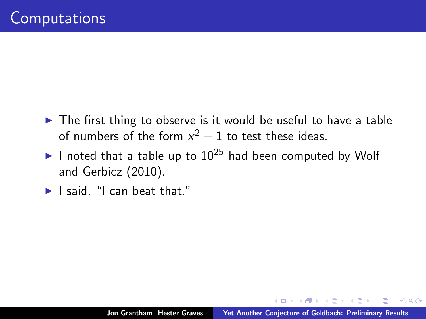- $\triangleright$  The first thing to observe is it would be useful to have a table of numbers of the form  $x^2 + 1$  to test these ideas.
- I noted that a table up to  $10^{25}$  had been computed by Wolf and Gerbicz (2010).
- $\blacktriangleright$  I said. "I can beat that."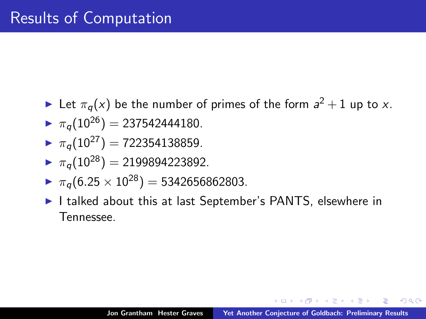- In Let  $\pi_q(x)$  be the number of primes of the form  $a^2 + 1$  up to x.
- $\blacksquare$   $\pi_a(10^{26})$  = 237542444180.
- $\mathcal{F}_{\pi_a}(10^{27}) = 722354138859.$
- $\mathcal{F}_{\pi_a}(10^{28}) = 2199894223892.$
- $\triangleright \pi_a(6.25 \times 10^{28}) = 5342656862803.$
- I talked about this at last September's PANTS, elsewhere in Tennessee.

へのへ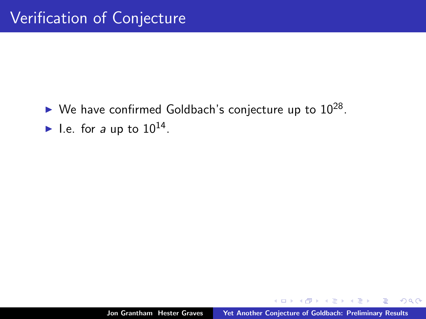$\blacktriangleright$  We have confirmed Goldbach's conjecture up to  $10^{28}$ . I.e. for a up to  $10^{14}$ .

 $\leftarrow$   $\Box$ 

AD - 4 E - 1

-4 E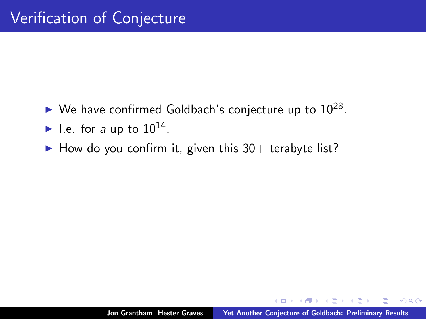- $\blacktriangleright$  We have confirmed Goldbach's conjecture up to  $10^{28}$ .
- I.e. for a up to  $10^{14}$ .
- $\blacktriangleright$  How do you confirm it, given this 30+ terabyte list?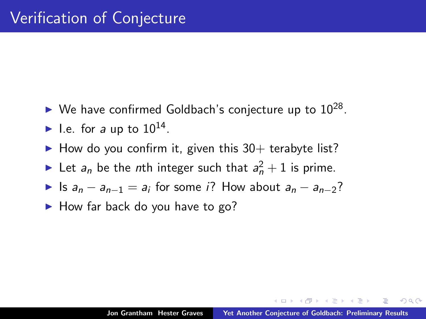- $\blacktriangleright$  We have confirmed Goldbach's conjecture up to  $10^{28}$ .
- I.e. for a up to  $10^{14}$ .
- $\blacktriangleright$  How do you confirm it, given this 30+ terabyte list?
- In Let  $a_n$  be the *n*th integer such that  $a_n^2 + 1$  is prime.
- ► Is  $a_n a_{n-1} = a_i$  for some *i*? How about  $a_n a_{n-2}$ ?
- $\blacktriangleright$  How far back do you have to go?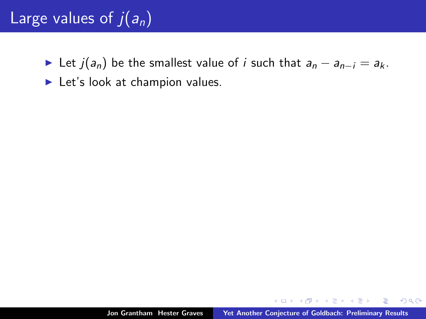## Large values of  $\overline{j(a_n)}$

- ► Let  $j(a_n)$  be the smallest value of *i* such that  $a_n a_{n-i} = a_k$ .
- $\blacktriangleright$  Let's look at champion values.

用 レイチャ

 $\left\{ \begin{array}{c} 1 \end{array} \right.$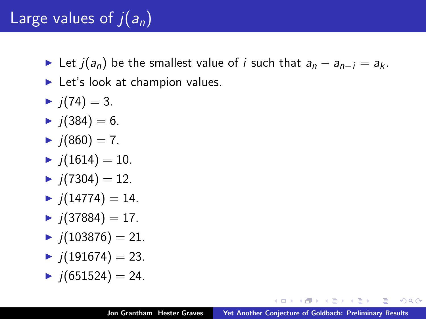#### Large values of  $\overline{j}(a_n)$

- ► Let  $j(a_n)$  be the smallest value of i such that  $a_n a_{n-i} = a_k$ .
- $\blacktriangleright$  Let's look at champion values.
- $\blacktriangleright$  j(74) = 3.
- $\blacktriangleright$  j(384) = 6.
- $\blacktriangleright$  j(860) = 7.
- $\blacktriangleright$  j(1614) = 10.
- $\blacktriangleright$  j(7304) = 12.
- $\blacktriangleright$  j(14774) = 14.
- $\blacktriangleright$  i(37884) = 17.
- $\blacktriangleright$   $i(103876) = 21.$
- $\blacktriangleright$  j(191674) = 23.
- $\blacktriangleright$  j(651524) = 24.

<span id="page-11-0"></span>つくい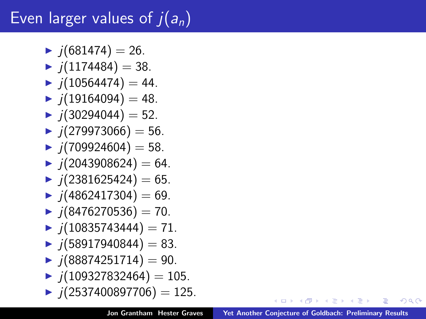# Even larger values of  $i(a_n)$

- $\blacktriangleright$  j(681474) = 26.
- $\blacktriangleright$   $i(1174484) = 38$ .
- $\blacktriangleright$  j(10564474) = 44.
- $\blacktriangleright$  j(19164094) = 48.
- $\blacktriangleright$  i(30294044) = 52.
- $\blacktriangleright$  j(279973066) = 56.
- $\blacktriangleright$  j(709924604) = 58.
- $\blacktriangleright$  j(2043908624) = 64.
- $\blacktriangleright$  j(2381625424) = 65.
- $\blacktriangleright$  j(4862417304) = 69.
- $\blacktriangleright$  j(8476270536) = 70.
- $\blacktriangleright$  j(10835743444) = 71.
- $\blacktriangleright$  j(58917940844) = 83.
- $\blacktriangleright$  j(88874251714) = 90.
- $\blacktriangleright$  j(109327832464) = 105.
- $\blacktriangleright$  j(2537400897706) = 125.

**≮ロト ⊀ 倒 ト ⊀ ヨ ト** 

<span id="page-12-0"></span>つへへ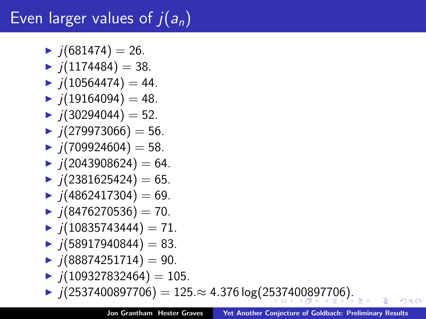# Even larger values of  $j(a_n)$

- $\blacktriangleright$  j(681474) = 26.
- $\blacktriangleright$   $i(1174484) = 38$ .
- $\blacktriangleright$  j(10564474) = 44.
- $\blacktriangleright$  j(19164094) = 48.
- $\blacktriangleright$  i(30294044) = 52.
- $\blacktriangleright$  j(279973066) = 56.
- $\blacktriangleright$  j(709924604) = 58.
- $\blacktriangleright$  j(2043908624) = 64.
- $\blacktriangleright$  j(2381625424) = 65.
- $\blacktriangleright$  j(4862417304) = 69.
- $\blacktriangleright$  j(8476270536) = 70.
- $\blacktriangleright$  j(10835743444) = 71.
- $\blacktriangleright$  j(58917940844) = 83.
- $\blacktriangleright$  j(88874251714) = 90.
- $\blacktriangleright$  j(109327832464) = 105.
- $\blacktriangleright$  j(2[53](#page-12-0)[74](#page-14-0)[0](#page-12-0)0[8](#page-13-0)[9](#page-14-0)[77](#page-0-0)[06](#page-21-0)) = 125.≈ 4.376 log(2537400897706[\).](#page-0-0)

<span id="page-13-0"></span>へのへ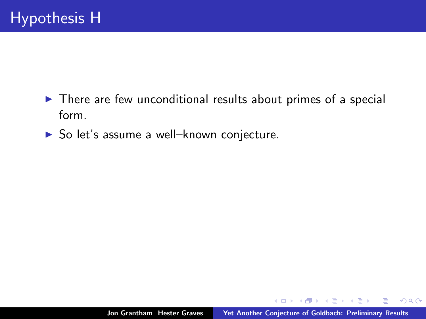- $\triangleright$  There are few unconditional results about primes of a special form.
- $\triangleright$  So let's assume a well-known conjecture.

 $\leftarrow$  m.

<span id="page-14-0"></span>K 御 ▶ K 唐 ▶ K 唐 ▶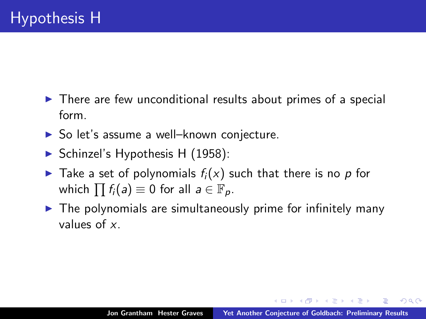- $\triangleright$  There are few unconditional results about primes of a special form.
- $\triangleright$  So let's assume a well–known conjecture.
- $\triangleright$  Schinzel's Hypothesis H (1958):
- $\blacktriangleright$  Take a set of polynomials  $f_i(x)$  such that there is no p for which  $\prod f_i(a) \equiv 0$  for all  $a \in \mathbb{F}_p$ .
- $\triangleright$  The polynomials are simultaneously prime for infinitely many values of x.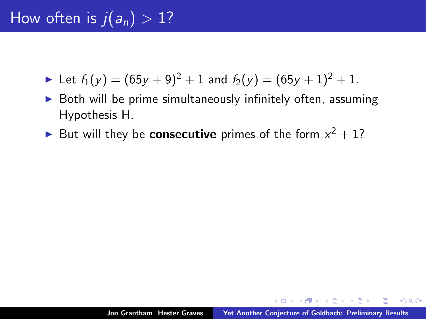## How often is  $j(a_n) > 1$ ?

- In Let  $f_1(y) = (65y + 9)^2 + 1$  and  $f_2(y) = (65y + 1)^2 + 1$ .
- Both will be prime simultaneously infinitely often, assuming Hypothesis H.
- But will they be **consecutive** primes of the form  $x^2 + 1$ ?

 $\left\{ \frac{1}{2} \right\}$  ,  $\left\{ \frac{1}{2} \right\}$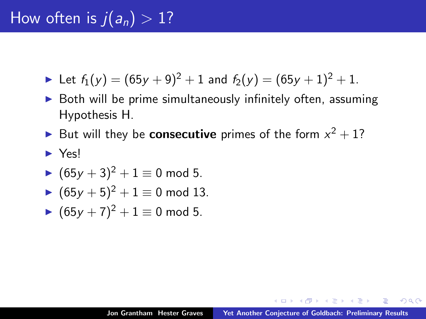- In Let  $f_1(y) = (65y + 9)^2 + 1$  and  $f_2(y) = (65y + 1)^2 + 1$ .
- $\triangleright$  Both will be prime simultaneously infinitely often, assuming Hypothesis H.
- But will they be **consecutive** primes of the form  $x^2 + 1$ ?
- <sup>I</sup> Yes!
- $(65y + 3)^2 + 1 \equiv 0 \mod 5$ .
- $\blacktriangleright$   $(65y + 5)^2 + 1 \equiv 0 \mod 13$ .
- $(65y + 7)^2 + 1 \equiv 0 \mod 5$ .

 $\left\{ \frac{1}{2} \right\}$  ,  $\left\{ \frac{1}{2} \right\}$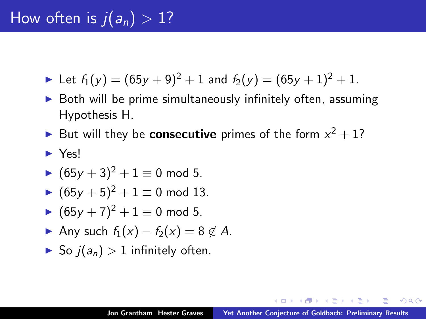- In Let  $f_1(y) = (65y + 9)^2 + 1$  and  $f_2(y) = (65y + 1)^2 + 1$ .
- Both will be prime simultaneously infinitely often, assuming Hypothesis H.
- But will they be **consecutive** primes of the form  $x^2 + 1$ ?
- <sup>I</sup> Yes!
- $(65y + 3)^2 + 1 \equiv 0 \mod 5$ .
- $\blacktriangleright$   $(65y + 5)^2 + 1 \equiv 0 \mod 13$ .
- $\blacktriangleright$  (65y + 7)<sup>2</sup> + 1 ≡ 0 mod 5.
- Any such  $f_1(x) f_2(x) = 8 \notin A$ .
- $\triangleright$  So  $i(a_n) > 1$  infinitely often.

 $AB + AB + BC$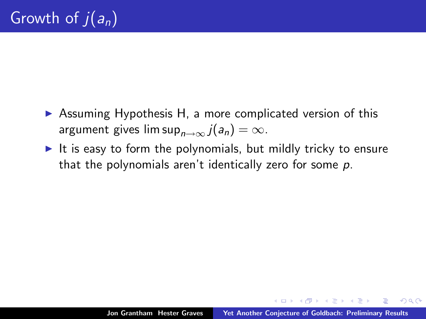- $\triangleright$  Assuming Hypothesis H, a more complicated version of this argument gives lim sup $_{n\rightarrow\infty}$   $j(a_n) = \infty$ .
- It is easy to form the polynomials, but mildly tricky to ensure that the polynomials aren't identically zero for some p.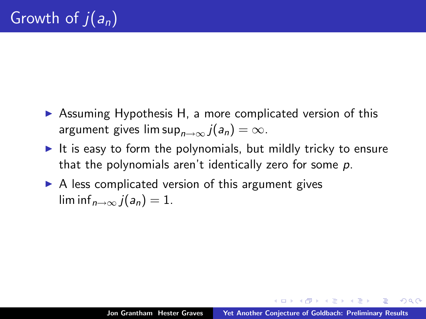- $\triangleright$  Assuming Hypothesis H, a more complicated version of this argument gives lim sup $_{n\rightarrow\infty}$   $j(a_n) = \infty$ .
- It is easy to form the polynomials, but mildly tricky to ensure that the polynomials aren't identically zero for some  $p$ .
- $\triangleright$  A less complicated version of this argument gives  $\liminf_{n\to\infty}$   $i(a_n)=1$ .

K 御 ▶ K 唐 ▶ K 唐 ▶